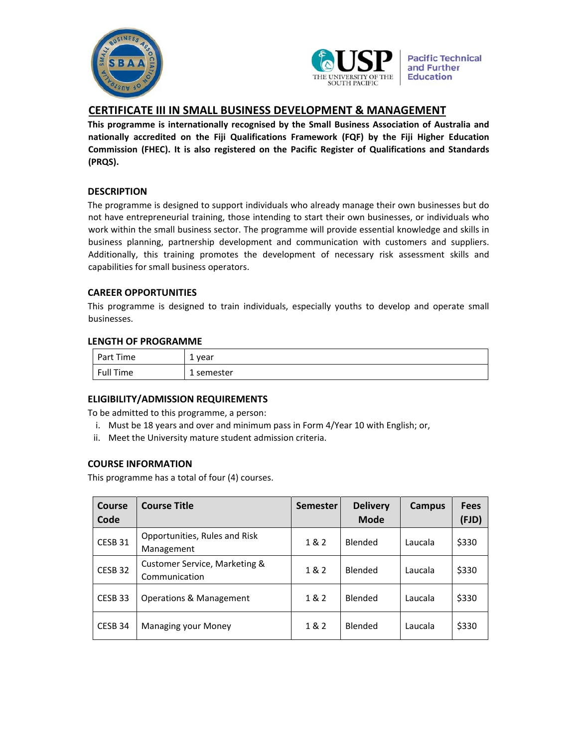



**Pacific Technical** and Further **Education** 

# **CERTIFICATE III IN SMALL BUSINESS DEVELOPMENT & MANAGEMENT**

**This programme is internationally recognised by the Small Business Association of Australia and nationally accredited on the Fiji Qualifications Framework (FQF) by the Fiji Higher Education Commission (FHEC). It is also registered on the Pacific Register of Qualifications and Standards (PRQS).**

# **DESCRIPTION**

The programme is designed to support individuals who already manage their own businesses but do not have entrepreneurial training, those intending to start their own businesses, or individuals who work within the small business sector. The programme will provide essential knowledge and skills in business planning, partnership development and communication with customers and suppliers. Additionally, this training promotes the development of necessary risk assessment skills and capabilities for small business operators.

# **CAREER OPPORTUNITIES**

This programme is designed to train individuals, especially youths to develop and operate small businesses.

### **LENGTH OF PROGRAMME**

| Part Time | . vear<br><b>.</b> |
|-----------|--------------------|
| Full Time | 1 semester         |

# **ELIGIBILITY/ADMISSION REQUIREMENTS**

To be admitted to this programme, a person:

- i. Must be 18 years and over and minimum pass in Form 4/Year 10 with English; or,
- ii. Meet the University mature student admission criteria.

# **COURSE INFORMATION**

This programme has a total of four (4) courses.

| Course<br>Code     | <b>Course Title</b>                            | <b>Semester</b> | <b>Delivery</b><br><b>Mode</b> | Campus  | <b>Fees</b><br>(FJD) |
|--------------------|------------------------------------------------|-----------------|--------------------------------|---------|----------------------|
| CESB 31            | Opportunities, Rules and Risk<br>Management    | 1 & 2           | <b>Blended</b>                 | Laucala | \$330                |
| CESB <sub>32</sub> | Customer Service, Marketing &<br>Communication | 1&2             | <b>Blended</b>                 | Laucala | \$330                |
| CESB 33            | Operations & Management                        | 1&2             | <b>Blended</b>                 | Laucala | \$330                |
| CESB 34            | <b>Managing your Money</b>                     | 1 & 2           | Blended                        | Laucala | \$330                |